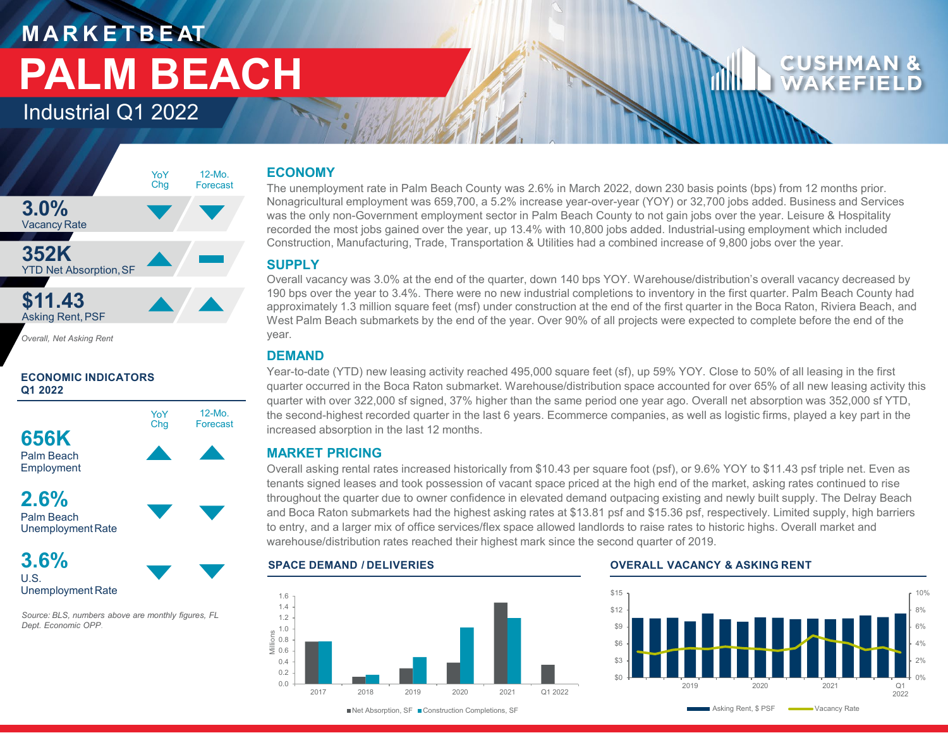## **M A R K E T B E AT PALM BEACH**

Industrial Q1 2022



*Overall, Net Asking Rent*

#### **ECONOMIC INDICATORS Q1 2022**



**2.6%** Palm Beach

UnemploymentRate

**3.6%** U.S. Unemployment Rate

*Source: BLS, numbers above are monthly figures, FL Dept. Economic OPP*.

#### **ECONOMY**

The unemployment rate in Palm Beach County was 2.6% in March 2022, down 230 basis points (bps) from 12 months prior. Nonagricultural employment was 659,700, a 5.2% increase year-over-year (YOY) or 32,700 jobs added. Business and Services was the only non-Government employment sector in Palm Beach County to not gain jobs over the year. Leisure & Hospitality recorded the most jobs gained over the year, up 13.4% with 10,800 jobs added. Industrial-using employment which included Construction, Manufacturing, Trade, Transportation & Utilities had a combined increase of 9,800 jobs over the year.

#### **SUPPLY**

Overall vacancy was 3.0% at the end of the quarter, down 140 bps YOY. Warehouse/distribution's overall vacancy decreased by 190 bps over the year to 3.4%. There were no new industrial completions to inventory in the first quarter. Palm Beach County had approximately 1.3 million square feet (msf) under construction at the end of the first quarter in the Boca Raton, Riviera Beach, and West Palm Beach submarkets by the end of the year. Over 90% of all projects were expected to complete before the end of the year.

#### **DEMAND**

12-Mo. Forecast

Year-to-date (YTD) new leasing activity reached 495,000 square feet (sf), up 59% YOY. Close to 50% of all leasing in the first quarter occurred in the Boca Raton submarket. Warehouse/distribution space accounted for over 65% of all new leasing activity this quarter with over 322,000 sf signed, 37% higher than the same period one year ago. Overall net absorption was 352,000 sf YTD, the second-highest recorded quarter in the last 6 years. Ecommerce companies, as well as logistic firms, played a key part in the increased absorption in the last 12 months.

### **MARKET PRICING**

Overall asking rental rates increased historically from \$10.43 per square foot (psf), or 9.6% YOY to \$11.43 psf triple net. Even as tenants signed leases and took possession of vacant space priced at the high end of the market, asking rates continued to rise throughout the quarter due to owner confidence in elevated demand outpacing existing and newly built supply. The Delray Beach and Boca Raton submarkets had the highest asking rates at \$13.81 psf and \$15.36 psf, respectively. Limited supply, high barriers to entry, and a larger mix of office services/flex space allowed landlords to raise rates to historic highs. Overall market and warehouse/distribution rates reached their highest mark since the second quarter of 2019.



#### **SPACE DEMAND / DELIVERIES OVERALL VACANCY & ASKING RENT**

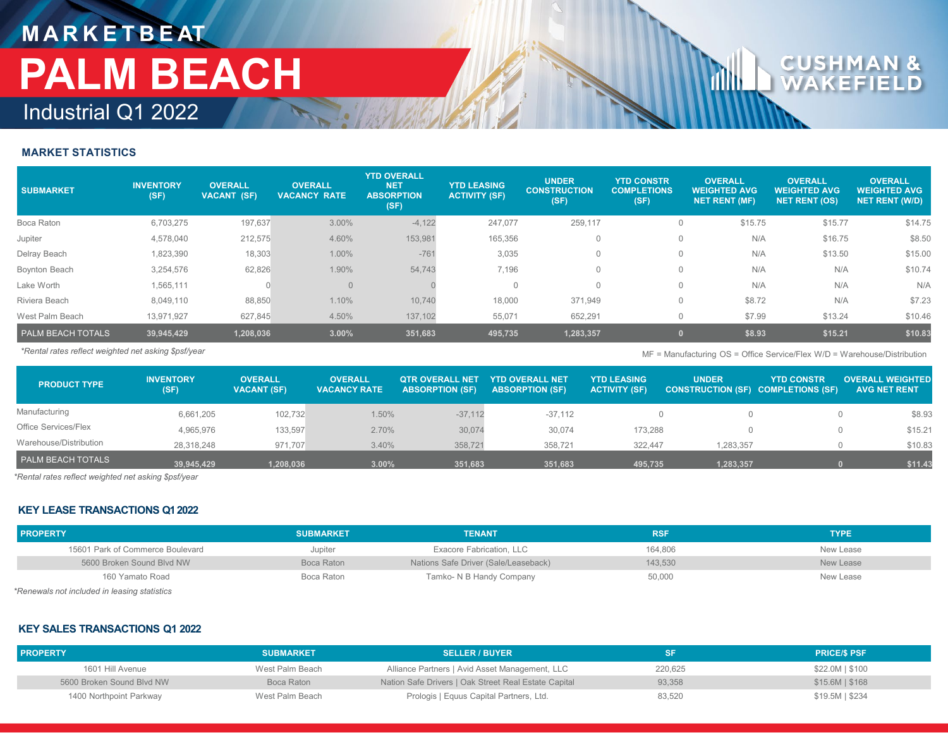### **M A R K E T B E AT** Industrial Q1 2022 **PALM BEACH**

# $\mathsf{c}\hspace{.04cm}\mathsf{u}$

#### **MARKET STATISTICS**

| <b>SUBMARKET</b>         | <b>INVENTORY</b><br>(SF) | <b>OVERALL</b><br><b>VACANT (SF)</b> | <b>OVERALL</b><br><b>VACANCY RATE</b> | <b>YTD OVERALL</b><br><b>NET</b><br><b>ABSORPTION</b><br>(SF) | <b>YTD LEASING</b><br><b>ACTIVITY (SF)</b> | <b>UNDER</b><br><b>CONSTRUCTION</b><br>(SF) | <b>YTD CONSTR</b><br><b>COMPLETIONS</b><br>(SF) | <b>OVERALL</b><br><b>WEIGHTED AVG</b><br><b>NET RENT (MF)</b> | <b>OVERALL</b><br><b>WEIGHTED AVG</b><br><b>NET RENT (OS)</b> | <b>OVERALL</b><br><b>WEIGHTED AVG</b><br><b>NET RENT (W/D)</b> |
|--------------------------|--------------------------|--------------------------------------|---------------------------------------|---------------------------------------------------------------|--------------------------------------------|---------------------------------------------|-------------------------------------------------|---------------------------------------------------------------|---------------------------------------------------------------|----------------------------------------------------------------|
| Boca Raton               | 6,703,275                | 197,637                              | 3.00%                                 | $-4,122$                                                      | 247.077                                    | 259,117                                     | $\Omega$                                        | \$15.75                                                       | \$15.77                                                       | \$14.75                                                        |
| Jupiter                  | 4,578,040                | 212,575                              | 4.60%                                 | 153,981                                                       | 165,356                                    |                                             | $\mathbf{0}$                                    | N/A                                                           | \$16.75                                                       | \$8.50                                                         |
| Delray Beach             | 1,823,390                | 18,303                               | 1.00%                                 | $-761$                                                        | 3,035                                      |                                             | $\Omega$                                        | N/A                                                           | \$13.50                                                       | \$15.00                                                        |
| Boynton Beach            | 3,254,576                | 62,826                               | 1.90%                                 | 54,743                                                        | 7,196                                      |                                             | $\Omega$                                        | N/A                                                           | N/A                                                           | \$10.74                                                        |
| Lake Worth               | 1,565,111                |                                      | $\Omega$                              |                                                               | $\Omega$                                   | $\Omega$                                    | $\Omega$                                        | N/A                                                           | N/A                                                           | N/A                                                            |
| Riviera Beach            | 8,049,110                | 88,850                               | 1.10%                                 | 10,740                                                        | 18,000                                     | 371,949                                     | $\mathbf{0}$                                    | \$8.72                                                        | N/A                                                           | \$7.23                                                         |
| West Palm Beach          | 13,971,927               | 627,845                              | 4.50%                                 | 137,102                                                       | 55,071                                     | 652,291                                     | 0                                               | \$7.99                                                        | \$13.24                                                       | \$10.46                                                        |
| <b>PALM BEACH TOTALS</b> | 39,945,429               | 1,208,036                            | 3.00%                                 | 351,683                                                       | 495,735                                    | 1,283,357                                   |                                                 | \$8.93                                                        | \$15.21                                                       | \$10.83                                                        |

*\*Rental rates reflect weighted net asking \$psf/year* MF = Manufacturing OS = Office Service/Flex W/D = Warehouse/Distribution

| <b>PRODUCT TYPE</b>      | <b>INVENTORY</b><br>(SF) | <b>OVERALL</b><br><b>VACANT (SF)</b> | <b>OVERALL</b><br><b>VACANCY RATE</b> | <b>OTR OVERALL NET</b><br><b>ABSORPTION (SF)</b> | YTD OVERALL NET'<br><b>ABSORPTION (SF)</b> | <b>YTD LEASING</b><br><b>ACTIVITY (SF)</b> | <b>UNDER</b><br><b>CONSTRUCTION (SF) COMPLETIONS (SF)</b> | <b>YTD CONSTR</b> | <b>OVERALL WEIGHTED</b><br><b>AVG NET RENT</b> |
|--------------------------|--------------------------|--------------------------------------|---------------------------------------|--------------------------------------------------|--------------------------------------------|--------------------------------------------|-----------------------------------------------------------|-------------------|------------------------------------------------|
| Manufacturing            | 6,661,205                | 102,732                              | 1.50%                                 | $-37,112$                                        | $-37.112$                                  |                                            |                                                           |                   | \$8.93                                         |
| Office Services/Flex     | 4,965,976                | 133,597                              | 2.70%                                 | 30,074                                           | 30,074                                     | 173,288                                    |                                                           |                   | \$15.21                                        |
| Warehouse/Distribution   | 28,318,248               | 971.707                              | 3.40%                                 | 358,721                                          | 358,721                                    | 322.447                                    | 1.283.357                                                 |                   | \$10.83                                        |
| <b>PALM BEACH TOTALS</b> | 39.945.429               | 1.208.036                            | 3.00%                                 | 351.683                                          | 351.683                                    | 495.735                                    | 1.283.357                                                 |                   | \$11.43                                        |

*\*Rental rates reflect weighted net asking \$psf/year*

#### **KEY LEASE TRANSACTIONS Q1 2022**

| <b>PROPERTY</b>                  | <b>SUBMARKET</b> | <b>TENANT</b>                        | <b>RSF</b> | <b>TYPE</b> |
|----------------------------------|------------------|--------------------------------------|------------|-------------|
| 15601 Park of Commerce Boulevard | Jupiter          | Exacore Fabrication, LLC             | 164,806    | New Lease   |
| 5600 Broken Sound Blvd NW        | Boca Raton       | Nations Safe Driver (Sale/Leaseback) | 143,530    | New Lease   |
| 160 Yamato Road                  | Boca Raton       | Tamko- N B Handy Company             | 50,000     | New Lease   |

*\*Renewals not included in leasing statistics*

#### **KEY SALES TRANSACTIONS Q1 2022**

| <b>PROPERTY</b>           | <b>SUBMARKET</b> | <b>SELLER / BUYER</b>                                |         | <b>PRICE/S PSF</b> |
|---------------------------|------------------|------------------------------------------------------|---------|--------------------|
| 1601 Hill Avenue          | West Palm Beach  | Alliance Partners   Avid Asset Management, LLC       | 220.625 | \$22.0M   \$100    |
| 5600 Broken Sound Blvd NW | Boca Raton       | Nation Safe Drivers   Oak Street Real Estate Capital | 93,358  | $$15.6M$   \$168   |
| 1400 Northpoint Parkway   | West Palm Beach  | Prologis   Equus Capital Partners, Ltd.              | 83,520  | $$19.5M$$   \$234  |